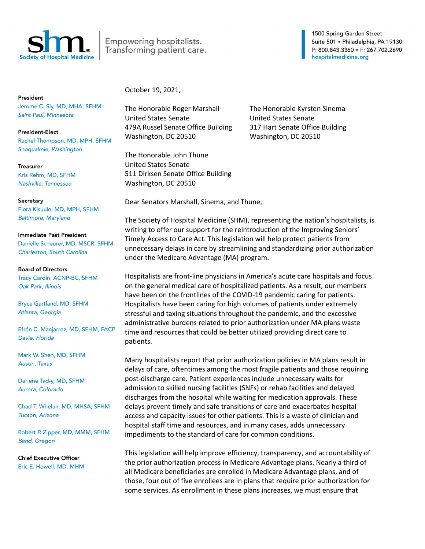

Empowering hospitalists. Transforming patient care.

1500 Spring Garden Street Suite 501 · Philadelphia, PA 19130 P: 800.843.3360 · F: 267.702.2690 hospitalmedicine.org

President Jerome C. Siy, MD, MHA, SFHM Saint Paul, Minnesota

**President-Elect** Rachel Thompson, MD, MPH, SFHM Snoqualmie, Washington

Treasurer Kris Rehm, MD, SFHM Nashville, Tennessee

Secretary Flora Kisuule, MD, MPH, SFHM **Baltimore, Maryland** 

**Immediate Past President** Danielle Scheurer, MD, MSCR, SFHM Charleston, South Carolina

**Board of Directors** Tracy Cardin, ACNP-BC, SFHM Oak Park, Illinois

**Bryce Gartland, MD, SFHM** Atlanta, Georgia

Efrén C. Manjarrez, MD, SFHM, FACP Davie, Florida

Mark W. Shen, MD, SFHM Austin, Texas

Darlene Tad-y, MD, SFHM Aurora, Colorado

Chad T. Whelan, MD, MHSA, SFHM Tucson, Arizona

Robert P. Zipper, MD, MMM, SFHM **Bend, Oregon** 

**Chief Executive Officer** Eric E. Howell, MD, MHM October 19, 2021,

The Honorable Roger Marshall The Honorable Kyrsten Sinema United States Senate United States Senate 479A Russel Senate Office Building 317 Hart Senate Office Building Washington, DC 20510 Washington, DC 20510

The Honorable John Thune United States Senate 511 Dirksen Senate Office Building Washington, DC 20510

Dear Senators Marshall, Sinema, and Thune,

The Society of Hospital Medicine (SHM), representing the nation's hospitalists, is writing to offer our support for the reintroduction of the Improving Seniors' Timely Access to Care Act. This legislation will help protect patients from unnecessary delays in care by streamlining and standardizing prior authorization under the Medicare Advantage (MA) program.

Hospitalists are front-line physicians in America's acute care hospitals and focus on the general medical care of hospitalized patients. As a result, our members have been on the frontlines of the COVID-19 pandemic caring for patients. Hospitalists have been caring for high volumes of patients under extremely stressful and taxing situations throughout the pandemic, and the excessive administrative burdens related to prior authorization under MA plans waste time and resources that could be better utilized providing direct care to patients.

Many hospitalists report that prior authorization policies in MA plans result in delays of care, oftentimes among the most fragile patients and those requiring post-discharge care. Patient experiences include unnecessary waits for admission to skilled nursing facilities (SNFs) or rehab facilities and delayed discharges from the hospital while waiting for medication approvals. These delays prevent timely and safe transitions of care and exacerbates hospital access and capacity issues for other patients. This is a waste of clinician and hospital staff time and resources, and in many cases, adds unnecessary impediments to the standard of care for common conditions.

This legislation will help improve efficiency, transparency, and accountability of the prior authorization process in Medicare Advantage plans. Nearly a third of all Medicare beneficiaries are enrolled in Medicare Advantage plans, and of those, four out of five enrollees are in plans that require prior authorization for some services. As enrollment in these plans increases, we must ensure that